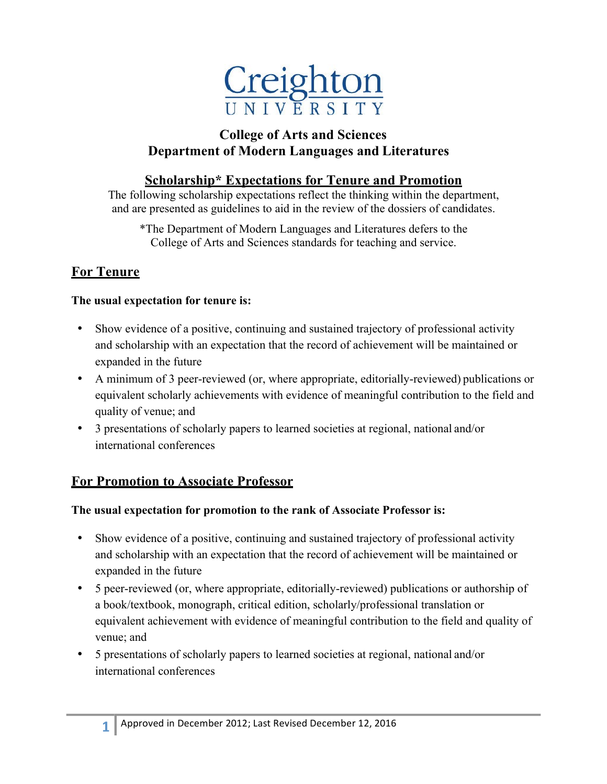

### **College of Arts and Sciences Department of Modern Languages and Literatures**

### **Scholarship\* Expectations for Tenure and Promotion**

The following scholarship expectations reflect the thinking within the department, and are presented as guidelines to aid in the review of the dossiers of candidates.

\*The Department of Modern Languages and Literatures defers to the College of Arts and Sciences standards for teaching and service.

### **For Tenure**

#### **The usual expectation for tenure is:**

- Show evidence of a positive, continuing and sustained trajectory of professional activity and scholarship with an expectation that the record of achievement will be maintained or expanded in the future
- A minimum of 3 peer-reviewed (or, where appropriate, editorially-reviewed) publications or equivalent scholarly achievements with evidence of meaningful contribution to the field and quality of venue; and
- 3 presentations of scholarly papers to learned societies at regional, national and/or international conferences

### **For Promotion to Associate Professor**

#### **The usual expectation for promotion to the rank of Associate Professor is:**

- Show evidence of a positive, continuing and sustained trajectory of professional activity and scholarship with an expectation that the record of achievement will be maintained or expanded in the future
- 5 peer-reviewed (or, where appropriate, editorially-reviewed) publications or authorship of a book/textbook, monograph, critical edition, scholarly/professional translation or equivalent achievement with evidence of meaningful contribution to the field and quality of venue; and
- 5 presentations of scholarly papers to learned societies at regional, national and/or international conferences